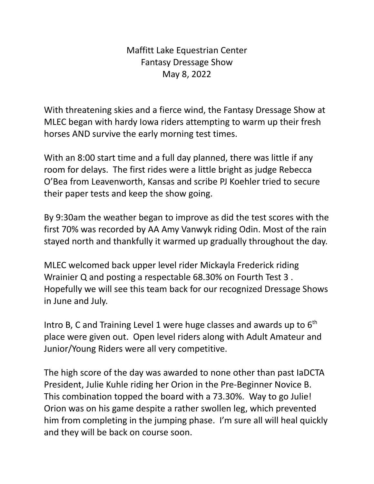## Maffitt Lake Equestrian Center Fantasy Dressage Show May 8, 2022

With threatening skies and a fierce wind, the Fantasy Dressage Show at MLEC began with hardy Iowa riders attempting to warm up their fresh horses AND survive the early morning test times.

With an 8:00 start time and a full day planned, there was little if any room for delays. The first rides were a little bright as judge Rebecca O'Bea from Leavenworth, Kansas and scribe PJ Koehler tried to secure their paper tests and keep the show going.

By 9:30am the weather began to improve as did the test scores with the first 70% was recorded by AA Amy Vanwyk riding Odin. Most of the rain stayed north and thankfully it warmed up gradually throughout the day.

MLEC welcomed back upper level rider Mickayla Frederick riding Wrainier Q and posting a respectable 68.30% on Fourth Test 3 . Hopefully we will see this team back for our recognized Dressage Shows in June and July.

Intro B, C and Training Level 1 were huge classes and awards up to  $6<sup>th</sup>$ place were given out. Open level riders along with Adult Amateur and Junior/Young Riders were all very competitive.

The high score of the day was awarded to none other than past IaDCTA President, Julie Kuhle riding her Orion in the Pre-Beginner Novice B. This combination topped the board with a 73.30%. Way to go Julie! Orion was on his game despite a rather swollen leg, which prevented him from completing in the jumping phase. I'm sure all will heal quickly and they will be back on course soon.